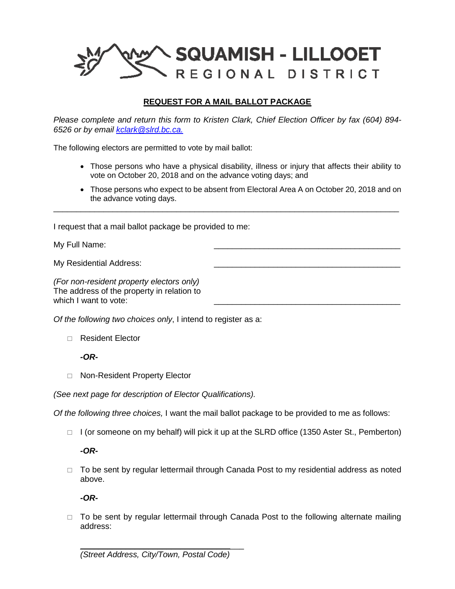

## **REQUEST FOR A MAIL BALLOT PACKAGE**

*Please complete and return this form to Kristen Clark, Chief Election Officer by fax (604) 894- 6526 or by email [kclark@slrd.bc.ca.](mailto:kclark@slrd.bc.ca)*

The following electors are permitted to vote by mail ballot:

- Those persons who have a physical disability, illness or injury that affects their ability to vote on October 20, 2018 and on the advance voting days; and
- Those persons who expect to be absent from Electoral Area A on October 20, 2018 and on the advance voting days.

\_\_\_\_\_\_\_\_\_\_\_\_\_\_\_\_\_\_\_\_\_\_\_\_\_\_\_\_\_\_\_\_\_\_\_\_\_\_\_\_\_\_\_\_\_\_\_\_\_\_\_\_\_\_\_\_\_\_\_\_\_\_\_\_\_\_\_\_\_\_\_\_\_\_\_\_

I request that a mail ballot package be provided to me:

My Full Name:

My Residential Address:

*(For non-resident property electors only)* The address of the property in relation to which I want to vote:

*Of the following two choices only*, I intend to register as a:

Resident Elector

*-OR-*

□ Non-Resident Property Elector

*(See next page for description of Elector Qualifications).*

*Of the following three choices,* I want the mail ballot package to be provided to me as follows:

 $\Box$  I (or someone on my behalf) will pick it up at the SLRD office (1350 Aster St., Pemberton)

*-OR-*

 $\Box$  To be sent by regular lettermail through Canada Post to my residential address as noted above.

*-OR-*

 $\Box$  To be sent by regular lettermail through Canada Post to the following alternate mailing address: